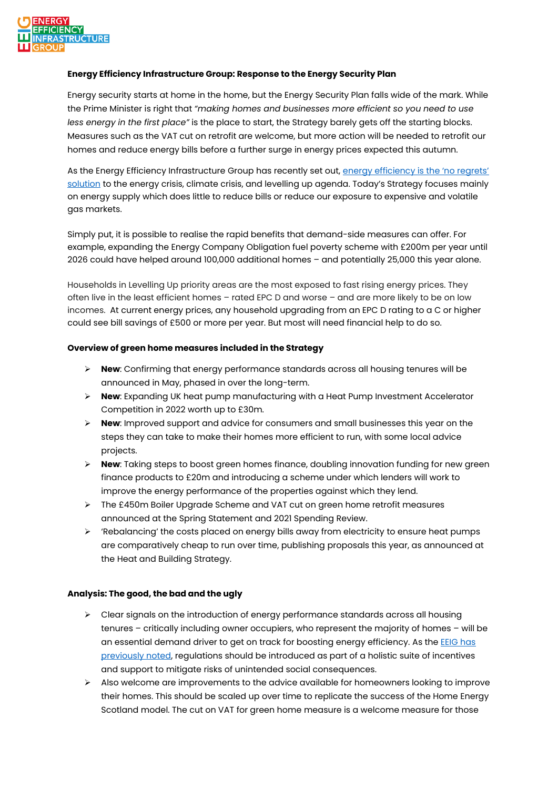

## **Energy Efficiency Infrastructure Group: Response to the Energy Security Plan**

Energy security starts at home in the home, but the Energy Security Plan falls wide of the mark. While the Prime Minister is right that *"making homes and businesses more efficient so you need to use less energy in the first place"* is the place to start, the Strategy barely gets off the starting blocks. Measures such as the VAT cut on retrofit are welcome, but more action will be needed to retrofit our homes and reduce energy bills before a further surge in energy prices expected this autumn.

As the Energy Efficiency Infrastructure Group has recently set out, [energy efficiency is](https://www.theeeig.co.uk/media/1125/eeig_the-energy-efficiency-investment-imperative-02_22.pdf) the 'no regrets' [solution](https://www.theeeig.co.uk/media/1125/eeig_the-energy-efficiency-investment-imperative-02_22.pdf) to the energy crisis, climate crisis, and levelling up agenda. Today's Strategy focuses mainly on energy supply which does little to reduce bills or reduce our exposure to expensive and volatile gas markets.

Simply put, it is possible to realise the rapid benefits that demand-side measures can offer. For example, expanding the Energy Company Obligation fuel poverty scheme with £200m per year until 2026 could have helped around 100,000 additional homes – and potentially 25,000 this year alone.

Households in Levelling Up priority areas are the most exposed to fast rising energy prices. They often live in the least efficient homes – rated EPC D and worse – and are more likely to be on low incomes. At current energy prices, any household upgrading from an EPC D rating to a C or higher could see bill savings of £500 or more per year. But most will need financial help to do so.

## **Overview of green home measures included in the Strategy**

- ➢ **New**: Confirming that energy performance standards across all housing tenures will be announced in May, phased in over the long-term.
- ➢ **New**: Expanding UK heat pump manufacturing with a Heat Pump Investment Accelerator Competition in 2022 worth up to £30m.
- ➢ **New**: Improved support and advice for consumers and small businesses this year on the steps they can take to make their homes more efficient to run, with some local advice projects.
- ➢ **New**: Taking steps to boost green homes finance, doubling innovation funding for new green finance products to £20m and introducing a scheme under which lenders will work to improve the energy performance of the properties against which they lend.
- ➢ The £450m Boiler Upgrade Scheme and VAT cut on green home retrofit measures announced at the Spring Statement and 2021 Spending Review.
- $\geq$  'Rebalancing' the costs placed on energy bills away from electricity to ensure heat pumps are comparatively cheap to run over time, publishing proposals this year, as announced at the Heat and Building Strategy.

## **Analysis: The good, the bad and the ugly**

- $\triangleright$  Clear signals on the introduction of energy performance standards across all housing tenures – critically including owner occupiers, who represent the majority of homes – will be an essential demand driver to get on track for boosting energy efficiency. As the [EEIG has](https://www.theeeig.co.uk/media/1114/eeig_analysis-of-the-heat-and-buildings-strategy_03.pdf)  [previously noted,](https://www.theeeig.co.uk/media/1114/eeig_analysis-of-the-heat-and-buildings-strategy_03.pdf) regulations should be introduced as part of a holistic suite of incentives and support to mitigate risks of unintended social consequences.
- ➢ Also welcome are improvements to the advice available for homeowners looking to improve their homes. This should be scaled up over time to replicate the success of the Home Energy Scotland model. The cut on VAT for green home measure is a welcome measure for those